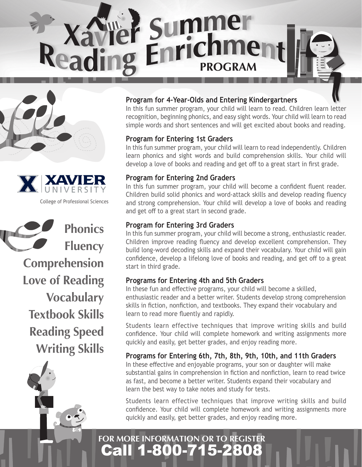





College of Professional Sciences

**Phonics Fluency Comprehension Love of Reading Vocabulary Textbook Skills Reading Speed Writing Skills**

fido

#### **Program for 4-Year-Olds and Entering Kindergartners**

In this fun summer program, your child will learn to read. Children learn letter recognition, beginning phonics, and easy sight words. Your child will learn to read simple words and short sentences and will get excited about books and reading.

#### **Program for Entering 1st Graders**

In this fun summer program, your child will learn to read independently. Children learn phonics and sight words and build comprehension skills. Your child will develop a love of books and reading and get off to a great start in first grade.

### **Program for Entering 2nd Graders**

In this fun summer program, your child will become a confident fluent reader. Children build solid phonics and word-attack skills and develop reading fluency and strong comprehension. Your child will develop a love of books and reading and get off to a great start in second grade.

#### **Program for Entering 3rd Graders**

In this fun summer program, your child will become a strong, enthusiastic reader. Children improve reading fluency and develop excellent comprehension. They build long-word decoding skills and expand their vocabulary. Your child will gain confidence, develop a lifelong love of books and reading, and get off to a great start in third grade.

#### **Programs for Entering 4th and 5th Graders**

In these fun and effective programs, your child will become a skilled, enthusiastic reader and a better writer. Students develop strong comprehension skills in fiction, nonfiction, and textbooks. They expand their vocabulary and learn to read more fluently and rapidly.

Students learn effective techniques that improve writing skills and build confidence. Your child will complete homework and writing assignments more quickly and easily, get better grades, and enjoy reading more.

**Programs for Entering 6th, 7th, 8th, 9th, 10th, and 11th Graders** 

In these effective and enjoyable programs, your son or daughter will make substantial gains in comprehension in fiction and nonfiction, learn to read twice as fast, and become a better writer. Students expand their vocabulary and learn the best way to take notes and study for tests.

Students learn effective techniques that improve writing skills and build confidence. Your child will complete homework and writing assignments more quickly and easily, get better grades, and enjoy reading more.

## Call 1-800-715-2808 **FOR MORE INFORMATION OR TO REGISTER**